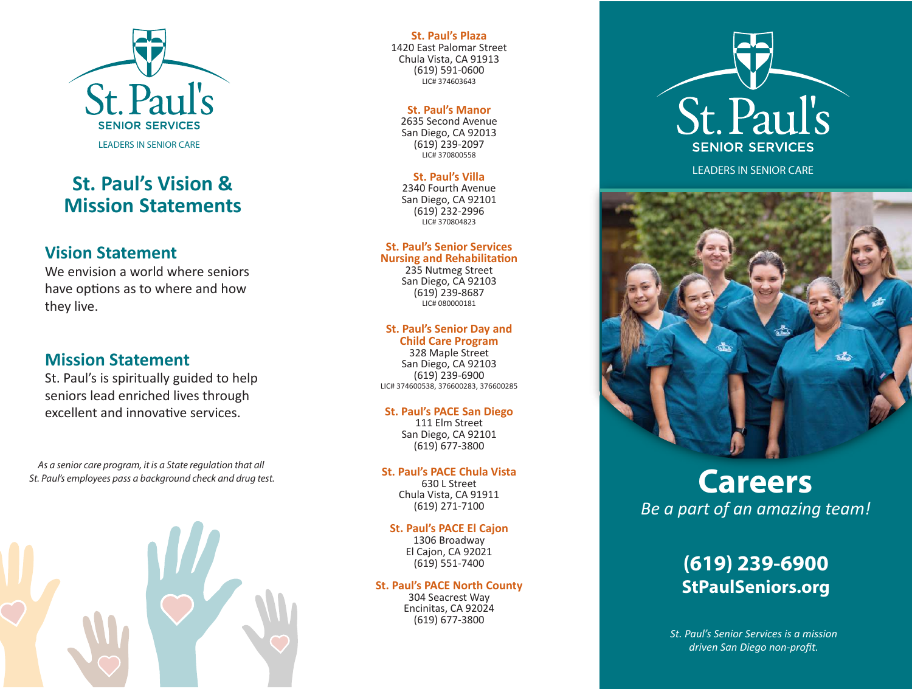

## **St. Paul's Vision & Mission Statements**

## **Vision Statement**

We envision a world where seniors have options as to where and how they live.

## **Mission Statement**

St. Paul's is spiritually guided to help seniors lead enriched lives through excellent and innovative services.

*As a senior care program, it is a State regulation that all St. Paul's employees pass a background check and drug test.*



#### **St. Paul's Plaza**

1420 East Palomar Street Chula Vista, CA 91913 (619) 591-0600 LIC# 374603643

#### **St. Paul's Manor**

2635 Second Avenue San Diego, CA 92013 (619) 239-2097 LIC# 370800558

#### **St. Paul's Villa**

2340 Fourth Avenue San Diego, CA 92101 (619) 232-2996 LIC# 370804823

#### **St. Paul's Senior Services Nursing and Rehabilitation**

235 Nutmeg Street San Diego, CA 92103 (619) 239-8687 LIC# 080000181

#### **St. Paul's Senior Day and**

**Child Care Program** 328 Maple Street San Diego, CA 92103 (619) 239-6900 LIC# 374600538, 376600283, 376600285

#### **St. Paul's PACE San Diego**

111 Elm Street San Diego, CA 92101 (619) 677-3800

#### **St. Paul's PACE Chula Vista**

630 L Street Chula Vista, CA 91911 (619) 271-7100

#### **St. Paul's PACE El Cajon**

1306 Broadway El Cajon, CA 92021 (619) 551-7400

### **St. Paul's PACE North County**

304 Seacrest Way Encinitas, CA 92024 (619) 677-3800



LEADERS IN SENIOR CARE



# **Careers** *Be a part of an amazing team!*

## **(619) 239-6900 StPaulSeniors.org**

*St. Paul's Senior Services is a mission driven San Diego non-profit.*